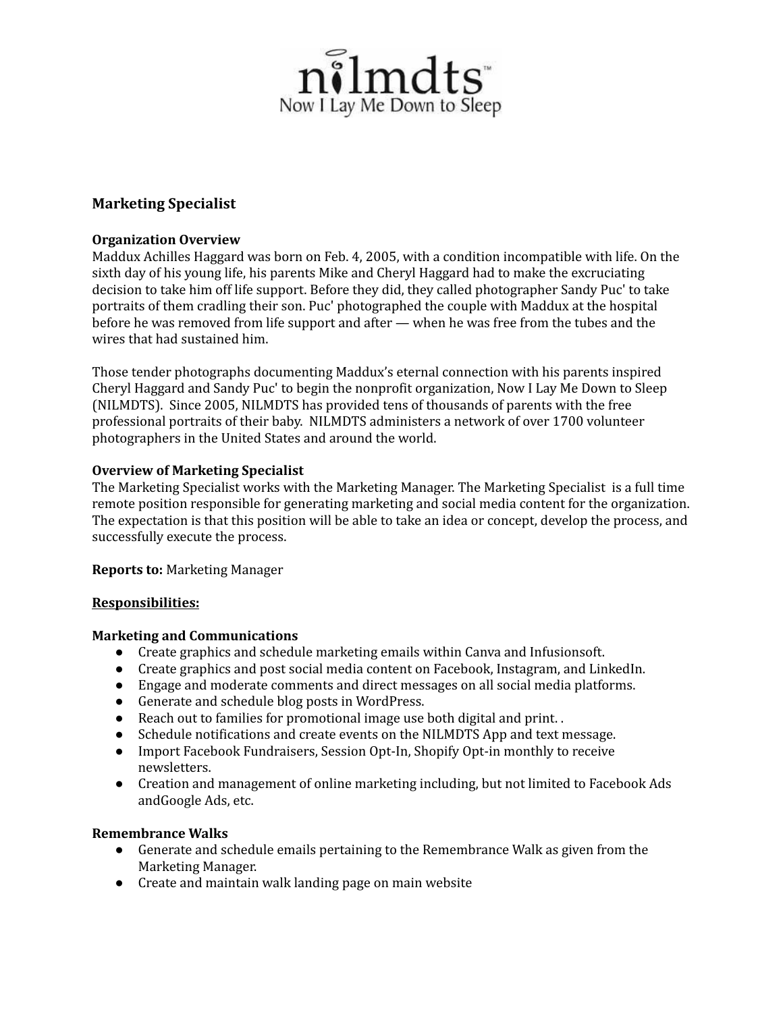

# **Marketing Specialist**

### **Organization Overview**

Maddux Achilles Haggard was born on Feb. 4, 2005, with a condition incompatible with life. On the sixth day of his young life, his parents Mike and Cheryl Haggard had to make the excruciating decision to take him off life support. Before they did, they called photographer Sandy Puc' to take portraits of them cradling their son. Puc' photographed the couple with Maddux at the hospital before he was removed from life support and after — when he was free from the tubes and the wires that had sustained him.

Those tender photographs documenting Maddux's eternal connection with his parents inspired Cheryl Haggard and Sandy Puc' to begin the nonprofit organization, Now I Lay Me Down to Sleep (NILMDTS). Since 2005, NILMDTS has provided tens of thousands of parents with the free professional portraits of their baby. NILMDTS administers a network of over 1700 volunteer photographers in the United States and around the world.

### **Overview of Marketing Specialist**

The Marketing Specialist works with the Marketing Manager. The Marketing Specialist is a full time remote position responsible for generating marketing and social media content for the organization. The expectation is that this position will be able to take an idea or concept, develop the process, and successfully execute the process.

**Reports to:** Marketing Manager

#### **Responsibilities:**

#### **Marketing and Communications**

- Create graphics and schedule marketing emails within Canva and Infusionsoft.
- Create graphics and post social media content on Facebook, Instagram, and LinkedIn.
- Engage and moderate comments and direct messages on all social media platforms.
- Generate and schedule blog posts in WordPress.
- Reach out to families for promotional image use both digital and print. .
- Schedule notifications and create events on the NILMDTS App and text message.
- Import Facebook Fundraisers, Session Opt-In, Shopify Opt-in monthly to receive newsletters.
- Creation and management of online marketing including, but not limited to Facebook Ads andGoogle Ads, etc.

### **Remembrance Walks**

- Generate and schedule emails pertaining to the Remembrance Walk as given from the Marketing Manager.
- Create and maintain walk landing page on main website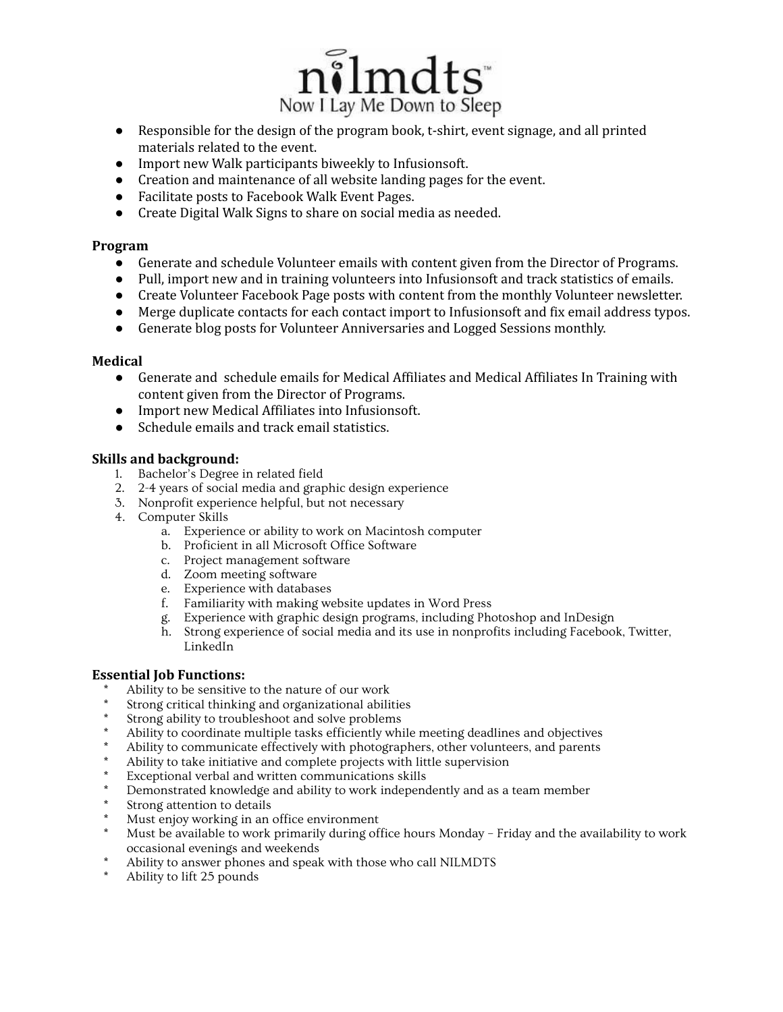

- Responsible for the design of the program book, t-shirt, event signage, and all printed materials related to the event.
- Import new Walk participants biweekly to Infusionsoft.
- Creation and maintenance of all website landing pages for the event.
- Facilitate posts to Facebook Walk Event Pages.
- Create Digital Walk Signs to share on social media as needed.

### **Program**

- Generate and schedule Volunteer emails with content given from the Director of Programs.
- Pull, import new and in training volunteers into Infusionsoft and track statistics of emails.
- Create Volunteer Facebook Page posts with content from the monthly Volunteer newsletter.
- Merge duplicate contacts for each contact import to Infusionsoft and fix email address typos.
- Generate blog posts for Volunteer Anniversaries and Logged Sessions monthly.

#### **Medical**

- Generate and schedule emails for Medical Affiliates and Medical Affiliates In Training with content given from the Director of Programs.
- Import new Medical Affiliates into Infusionsoft.
- Schedule emails and track email statistics.

### **Skills and background:**

- 1. Bachelor's Degree in related field
- 2. 2-4 years of social media and graphic design experience
- 3. Nonprofit experience helpful, but not necessary
- 4. Computer Skills
	- a. Experience or ability to work on Macintosh computer
	- b. Proficient in all Microsoft Office Software
	- c. Project management software
	- d. Zoom meeting software
	- e. Experience with databases
	- f. Familiarity with making website updates in Word Press
	- g. Experience with graphic design programs, including Photoshop and InDesign
	- h. Strong experience of social media and its use in nonprofits including Facebook, Twitter, LinkedIn

#### **Essential Job Functions:**

- Ability to be sensitive to the nature of our work
- Strong critical thinking and organizational abilities
- Strong ability to troubleshoot and solve problems
- Ability to coordinate multiple tasks efficiently while meeting deadlines and objectives
- Ability to communicate effectively with photographers, other volunteers, and parents
- Ability to take initiative and complete projects with little supervision
- Exceptional verbal and written communications skills
- Demonstrated knowledge and ability to work independently and as a team member
- Strong attention to details
- Must enjoy working in an office environment
- Must be available to work primarily during office hours Monday Friday and the availability to work occasional evenings and weekends
- Ability to answer phones and speak with those who call NILMDTS
- Ability to lift 25 pounds